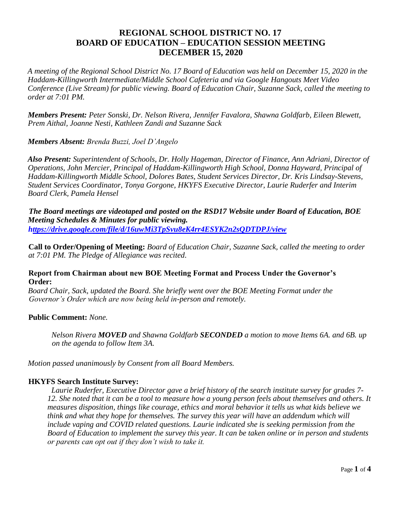# **REGIONAL SCHOOL DISTRICT NO. 17 BOARD OF EDUCATION – EDUCATION SESSION MEETING DECEMBER 15, 2020**

*A meeting of the Regional School District No. 17 Board of Education was held on December 15, 2020 in the Haddam-Killingworth Intermediate/Middle School Cafeteria and via Google Hangouts Meet Video Conference (Live Stream) for public viewing. Board of Education Chair, Suzanne Sack, called the meeting to order at 7:01 PM.* 

*Members Present: Peter Sonski, Dr. Nelson Rivera, Jennifer Favalora, Shawna Goldfarb, Eileen Blewett, Prem Aithal, Joanne Nesti, Kathleen Zandi and Suzanne Sack* 

*Members Absent: Brenda Buzzi, Joel D'Angelo* 

*Also Present: Superintendent of Schools, Dr. Holly Hageman, Director of Finance, Ann Adriani, Director of Operations, John Mercier, Principal of Haddam-Killingworth High School, Donna Hayward, Principal of Haddam-Killingworth Middle School, Dolores Bates, Student Services Director, Dr. Kris Lindsay-Stevens, Student Services Coordinator, Tonya Gorgone, HKYFS Executive Director, Laurie Ruderfer and Interim Board Clerk, Pamela Hensel* 

*The Board meetings are videotaped and posted on the RSD17 Website under Board of Education, BOE Meeting Schedules & Minutes for public viewing. https://drive.google.com/file/d/16uwMi3TpSvu8eK4rr4ESYK2n2sQDTDPJ/view*

**Call to Order/Opening of Meeting:** *Board of Education Chair, Suzanne Sack, called the meeting to order at 7:01 PM. The Pledge of Allegiance was recited.* 

#### **Report from Chairman about new BOE Meeting Format and Process Under the Governor's Order:**

*Board Chair, Sack, updated the Board. She briefly went over the BOE Meeting Format under the Governor's Order which are now being held in-person and remotely.* 

#### **Public Comment:** *None.*

*Nelson Rivera MOVED and Shawna Goldfarb SECONDED a motion to move Items 6A. and 6B. up on the agenda to follow Item 3A.* 

*Motion passed unanimously by Consent from all Board Members.* 

#### **HKYFS Search Institute Survey:**

*Laurie Ruderfer, Executive Director gave a brief history of the search institute survey for grades 7- 12. She noted that it can be a tool to measure how a young person feels about themselves and others. It measures disposition, things like courage, ethics and moral behavior it tells us what kids believe we think and what they hope for themselves. The survey this year will have an addendum which will include vaping and COVID related questions. Laurie indicated she is seeking permission from the Board of Education to implement the survey this year. It can be taken online or in person and students or parents can opt out if they don't wish to take it.*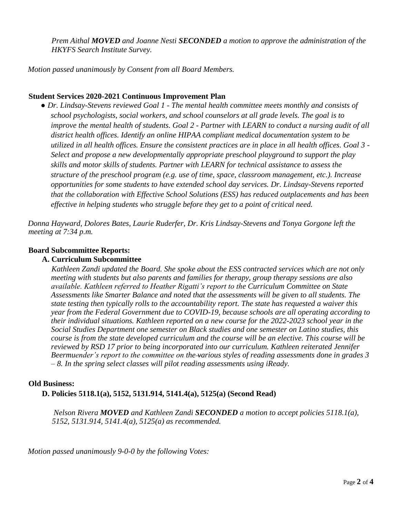*Prem Aithal MOVED and Joanne Nesti SECONDED a motion to approve the administration of the HKYFS Search Institute Survey.* 

*Motion passed unanimously by Consent from all Board Members.* 

### **Student Services 2020-2021 Continuous Improvement Plan**

*● Dr. Lindsay-Stevens reviewed Goal 1 - The mental health committee meets monthly and consists of school psychologists, social workers, and school counselors at all grade levels. The goal is to improve the mental health of students. Goal 2 - Partner with LEARN to conduct a nursing audit of all district health offices. Identify an online HIPAA compliant medical documentation system to be utilized in all health offices. Ensure the consistent practices are in place in all health offices. Goal 3 - Select and propose a new developmentally appropriate preschool playground to support the play skills and motor skills of students. Partner with LEARN for technical assistance to assess the structure of the preschool program (e.g. use of time, space, classroom management, etc.). Increase opportunities for some students to have extended school day services. Dr. Lindsay-Stevens reported that the collaboration with Effective School Solutions (ESS) has reduced outplacements and has been effective in helping students who struggle before they get to a point of critical need.* 

*Donna Hayward, Dolores Bates, Laurie Ruderfer, Dr. Kris Lindsay-Stevens and Tonya Gorgone left the meeting at 7:34 p.m.* 

#### **Board Subcommittee Reports:**

#### **A. Curriculum Subcommittee**

*Kathleen Zandi updated the Board. She spoke about the ESS contracted services which are not only meeting with students but also parents and families for therapy, group therapy sessions are also available. Kathleen referred to Heather Rigatti's report to the Curriculum Committee on State Assessments like Smarter Balance and noted that the assessments will be given to all students. The state testing then typically rolls to the accountability report. The state has requested a waiver this year from the Federal Government due to COVID-19, because schools are all operating according to their individual situations. Kathleen reported on a new course for the 2022-2023 school year in the Social Studies Department one semester on Black studies and one semester on Latino studies, this course is from the state developed curriculum and the course will be an elective. This course will be reviewed by RSD 17 prior to being incorporated into our curriculum. Kathleen reiterated Jennifer Beermuender's report to the committee on the various styles of reading assessments done in grades 3 – 8. In the spring select classes will pilot reading assessments using iReady.* 

#### **Old Business:**

**D. Policies 5118.1(a), 5152, 5131.914, 5141.4(a), 5125(a) (Second Read)** 

*Nelson Rivera MOVED and Kathleen Zandi SECONDED a motion to accept policies 5118.1(a), 5152, 5131.914, 5141.4(a), 5125(a) as recommended.* 

*Motion passed unanimously 9-0-0 by the following Votes:*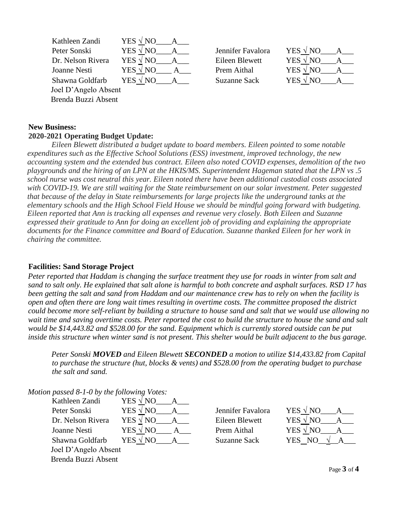| Kathleen Zandi       | YES $\sqrt{NO}$ A |                     |                                               |
|----------------------|-------------------|---------------------|-----------------------------------------------|
| Peter Sonski         | YES $\sqrt{NQ}$ A | Jennifer Favalora   | YES $\sqrt{NQ}$<br>$\overline{\phantom{a}}$ A |
| Dr. Nelson Rivera    | YES $\sqrt{NQ}$ A | Eileen Blewett      | YES $\sqrt{NQ}$<br>$\mathbf{A}$               |
| Joanne Nesti         | $YES \sqrt NO$ A  | Prem Aithal         | YES $\sqrt{NO}$ A                             |
| Shawna Goldfarb      | YES $\sqrt{NQ}$ A | <b>Suzanne Sack</b> | YES $\sqrt{NO}$ A                             |
| Joel D'Angelo Absent |                   |                     |                                               |
| Brenda Buzzi Absent  |                   |                     |                                               |

#### **New Business: 2020-2021 Operating Budget Update:**

*Eileen Blewett distributed a budget update to board members. Eileen pointed to some notable expenditures such as the Effective School Solutions (ESS) investment, improved technology, the new accounting system and the extended bus contract. Eileen also noted COVID expenses, demolition of the two playgrounds and the hiring of an LPN at the HKIS/MS. Superintendent Hageman stated that the LPN vs .5 school nurse was cost neutral this year. Eileen noted there have been additional custodial costs associated with COVID-19. We are still waiting for the State reimbursement on our solar investment. Peter suggested that because of the delay in State reimbursements for large projects like the underground tanks at the elementary schools and the High School Field House we should be mindful going forward with budgeting. Eileen reported that Ann is tracking all expenses and revenue very closely. Both Eileen and Suzanne expressed their gratitude to Ann for doing an excellent job of providing and explaining the appropriate documents for the Finance committee and Board of Education. Suzanne thanked Eileen for her work in chairing the committee.* 

## **Facilities: Sand Storage Project**

*Peter reported that Haddam is changing the surface treatment they use for roads in winter from salt and sand to salt only. He explained that salt alone is harmful to both concrete and asphalt surfaces. RSD 17 has been getting the salt and sand from Haddam and our maintenance crew has to rely on when the facility is open and often there are long wait times resulting in overtime costs. The committee proposed the district could become more self-reliant by building a structure to house sand and salt that we would use allowing no wait time and saving overtime costs. Peter reported the cost to build the structure to house the sand and salt would be \$14,443.82 and \$528.00 for the sand. Equipment which is currently stored outside can be put inside this structure when winter sand is not present. This shelter would be built adjacent to the bus garage.* 

*Peter Sonski MOVED and Eileen Blewett SECONDED a motion to utilize \$14,433.82 from Capital to purchase the structure (hut, blocks & vents) and \$528.00 from the operating budget to purchase the salt and sand.* 

*Motion passed 8-1-0 by the following Votes:* 

| Kathleen Zandi       | YES $\sqrt{NQ}$            |                     |                        |
|----------------------|----------------------------|---------------------|------------------------|
| Peter Sonski         | YES $\sqrt{NQ}$            | Jennifer Favalora   | YES $\sqrt{NO}$<br>A   |
| Dr. Nelson Rivera    | YES $\sqrt{NQ}$<br>$A_{-}$ | Eileen Blewett      | YES $\sqrt{NQ}$<br>A   |
| Joanne Nesti         | YES $\sqrt{NQ}$            | Prem Aithal         | YES $\sqrt{NO}$<br>A   |
| Shawna Goldfarb      | YES $\sqrt{NO}$            | <b>Suzanne Sack</b> | YES NO<br>$\mathbf{A}$ |
| Joel D'Angelo Absent |                            |                     |                        |
| Brenda Buzzi Absent  |                            |                     |                        |

| ennifer Favalora   | YES $\sqrt{NQ}$ |  |
|--------------------|-----------------|--|
| Eileen Blewett     | YES $\sqrt{NQ}$ |  |
| <b>Prem Aithal</b> | YES $\sqrt{NQ}$ |  |
| Suzanne Sack       | YES NO          |  |